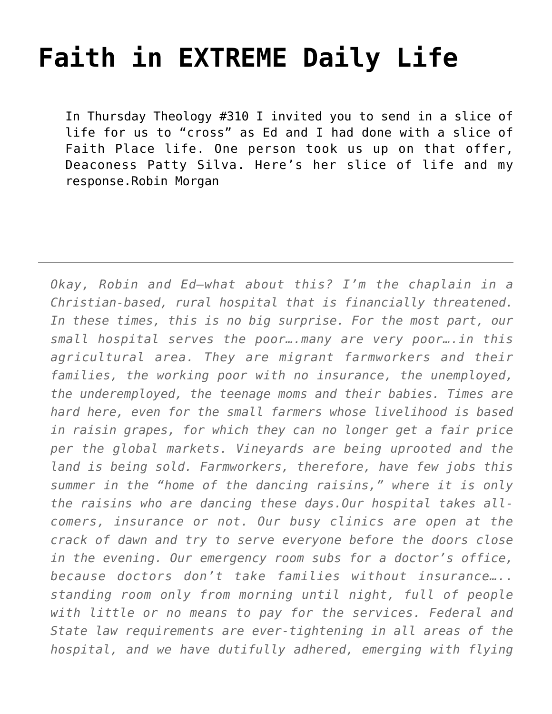## **[Faith in EXTREME Daily Life](https://crossings.org/faith-in-extreme-daily-life/)**

In Thursday Theology #310 I invited you to send in a slice of life for us to "cross" as Ed and I had done with a slice of Faith Place life. One person took us up on that offer, Deaconess Patty Silva. Here's her slice of life and my response.Robin Morgan

*Okay, Robin and Ed—what about this? I'm the chaplain in a Christian-based, rural hospital that is financially threatened. In these times, this is no big surprise. For the most part, our small hospital serves the poor….many are very poor….in this agricultural area. They are migrant farmworkers and their families, the working poor with no insurance, the unemployed, the underemployed, the teenage moms and their babies. Times are hard here, even for the small farmers whose livelihood is based in raisin grapes, for which they can no longer get a fair price per the global markets. Vineyards are being uprooted and the land is being sold. Farmworkers, therefore, have few jobs this summer in the "home of the dancing raisins," where it is only the raisins who are dancing these days.Our hospital takes allcomers, insurance or not. Our busy clinics are open at the crack of dawn and try to serve everyone before the doors close in the evening. Our emergency room subs for a doctor's office, because doctors don't take families without insurance….. standing room only from morning until night, full of people with little or no means to pay for the services. Federal and State law requirements are ever-tightening in all areas of the hospital, and we have dutifully adhered, emerging with flying*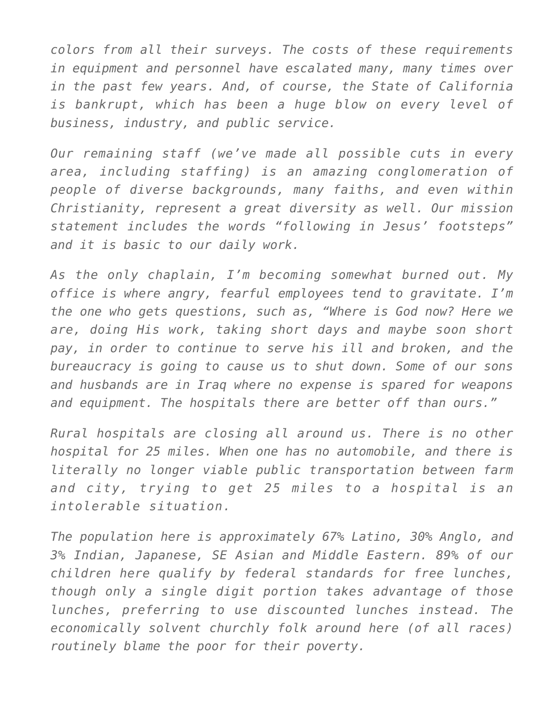*colors from all their surveys. The costs of these requirements in equipment and personnel have escalated many, many times over in the past few years. And, of course, the State of California is bankrupt, which has been a huge blow on every level of business, industry, and public service.*

*Our remaining staff (we've made all possible cuts in every area, including staffing) is an amazing conglomeration of people of diverse backgrounds, many faiths, and even within Christianity, represent a great diversity as well. Our mission statement includes the words "following in Jesus' footsteps" and it is basic to our daily work.*

*As the only chaplain, I'm becoming somewhat burned out. My office is where angry, fearful employees tend to gravitate. I'm the one who gets questions, such as, "Where is God now? Here we are, doing His work, taking short days and maybe soon short pay, in order to continue to serve his ill and broken, and the bureaucracy is going to cause us to shut down. Some of our sons and husbands are in Iraq where no expense is spared for weapons and equipment. The hospitals there are better off than ours."*

*Rural hospitals are closing all around us. There is no other hospital for 25 miles. When one has no automobile, and there is literally no longer viable public transportation between farm and city, trying to get 25 miles to a hospital is an intolerable situation.*

*The population here is approximately 67% Latino, 30% Anglo, and 3% Indian, Japanese, SE Asian and Middle Eastern. 89% of our children here qualify by federal standards for free lunches, though only a single digit portion takes advantage of those lunches, preferring to use discounted lunches instead. The economically solvent churchly folk around here (of all races) routinely blame the poor for their poverty.*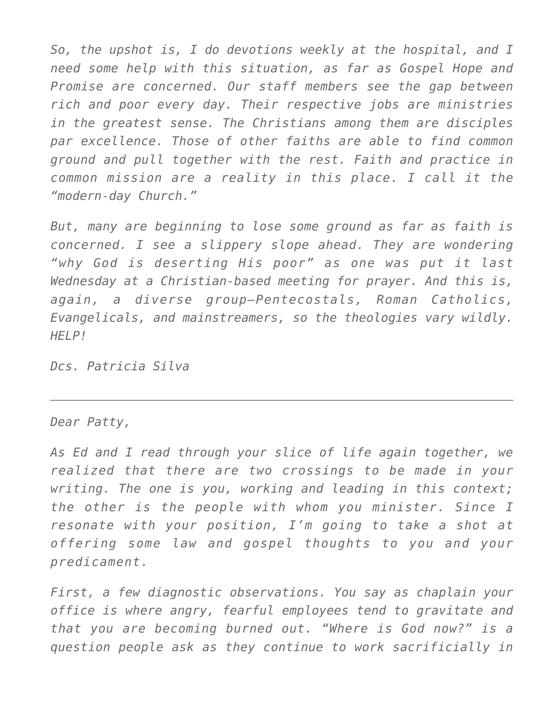*So, the upshot is, I do devotions weekly at the hospital, and I need some help with this situation, as far as Gospel Hope and Promise are concerned. Our staff members see the gap between rich and poor every day. Their respective jobs are ministries in the greatest sense. The Christians among them are disciples par excellence. Those of other faiths are able to find common ground and pull together with the rest. Faith and practice in common mission are a reality in this place. I call it the "modern-day Church."*

*But, many are beginning to lose some ground as far as faith is concerned. I see a slippery slope ahead. They are wondering "why God is deserting His poor" as one was put it last Wednesday at a Christian-based meeting for prayer. And this is, again, a diverse group—Pentecostals, Roman Catholics, Evangelicals, and mainstreamers, so the theologies vary wildly. HELP!*

*Dcs. Patricia Silva*

## *Dear Patty,*

*As Ed and I read through your slice of life again together, we realized that there are two crossings to be made in your writing. The one is you, working and leading in this context; the other is the people with whom you minister. Since I resonate with your position, I'm going to take a shot at offering some law and gospel thoughts to you and your predicament.*

*First, a few diagnostic observations. You say as chaplain your office is where angry, fearful employees tend to gravitate and that you are becoming burned out. "Where is God now?" is a question people ask as they continue to work sacrificially in*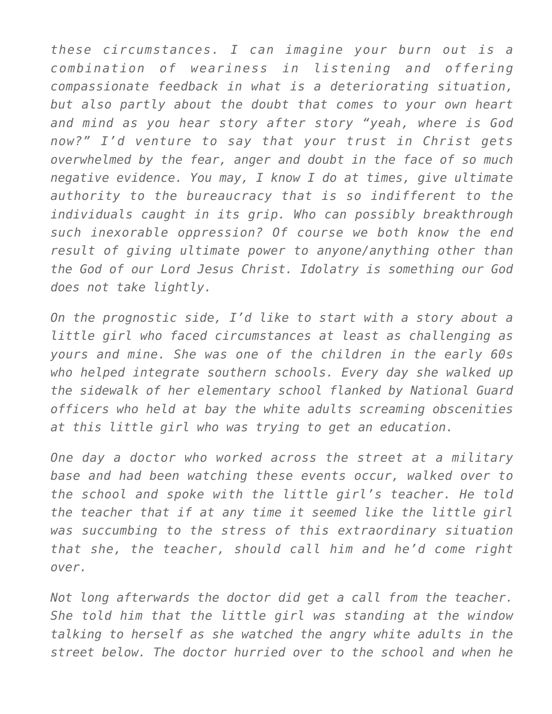*these circumstances. I can imagine your burn out is a combination of weariness in listening and offering compassionate feedback in what is a deteriorating situation, but also partly about the doubt that comes to your own heart and mind as you hear story after story "yeah, where is God now?" I'd venture to say that your trust in Christ gets overwhelmed by the fear, anger and doubt in the face of so much negative evidence. You may, I know I do at times, give ultimate authority to the bureaucracy that is so indifferent to the individuals caught in its grip. Who can possibly breakthrough such inexorable oppression? Of course we both know the end result of giving ultimate power to anyone/anything other than the God of our Lord Jesus Christ. Idolatry is something our God does not take lightly.*

*On the prognostic side, I'd like to start with a story about a little girl who faced circumstances at least as challenging as yours and mine. She was one of the children in the early 60s who helped integrate southern schools. Every day she walked up the sidewalk of her elementary school flanked by National Guard officers who held at bay the white adults screaming obscenities at this little girl who was trying to get an education.*

*One day a doctor who worked across the street at a military base and had been watching these events occur, walked over to the school and spoke with the little girl's teacher. He told the teacher that if at any time it seemed like the little girl was succumbing to the stress of this extraordinary situation that she, the teacher, should call him and he'd come right over.*

*Not long afterwards the doctor did get a call from the teacher. She told him that the little girl was standing at the window talking to herself as she watched the angry white adults in the street below. The doctor hurried over to the school and when he*